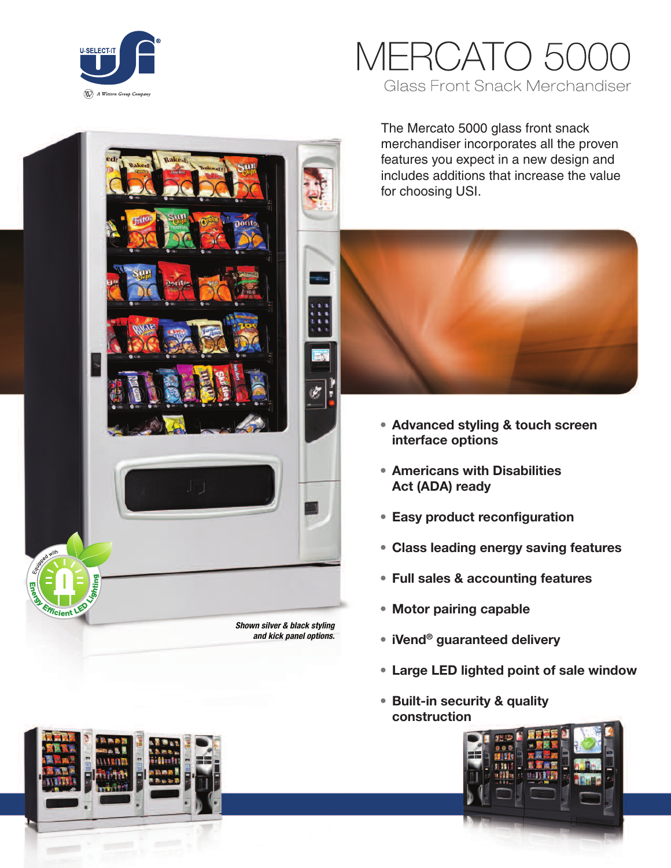

# IERCATO 5 **Glass Front Snack Merchandiser**

The Mercato 5000 glass front snack merchandiser incorporates all the proven features you expect in a new design and includes additions that increase the value for choosing USI.



- **• Advanced styling & touch screen interface options**
- **• Americans with Disabilities Act (ADA) ready**
- **• Easy product reconfiguration**
- **• Class leading energy saving features**
- **• Full sales & accounting features**
- **• Motor pairing capable**
- **• iVend® guaranteed delivery**
- **• Large LED lighted point of sale window**
- **• Built-in security & quality construction**